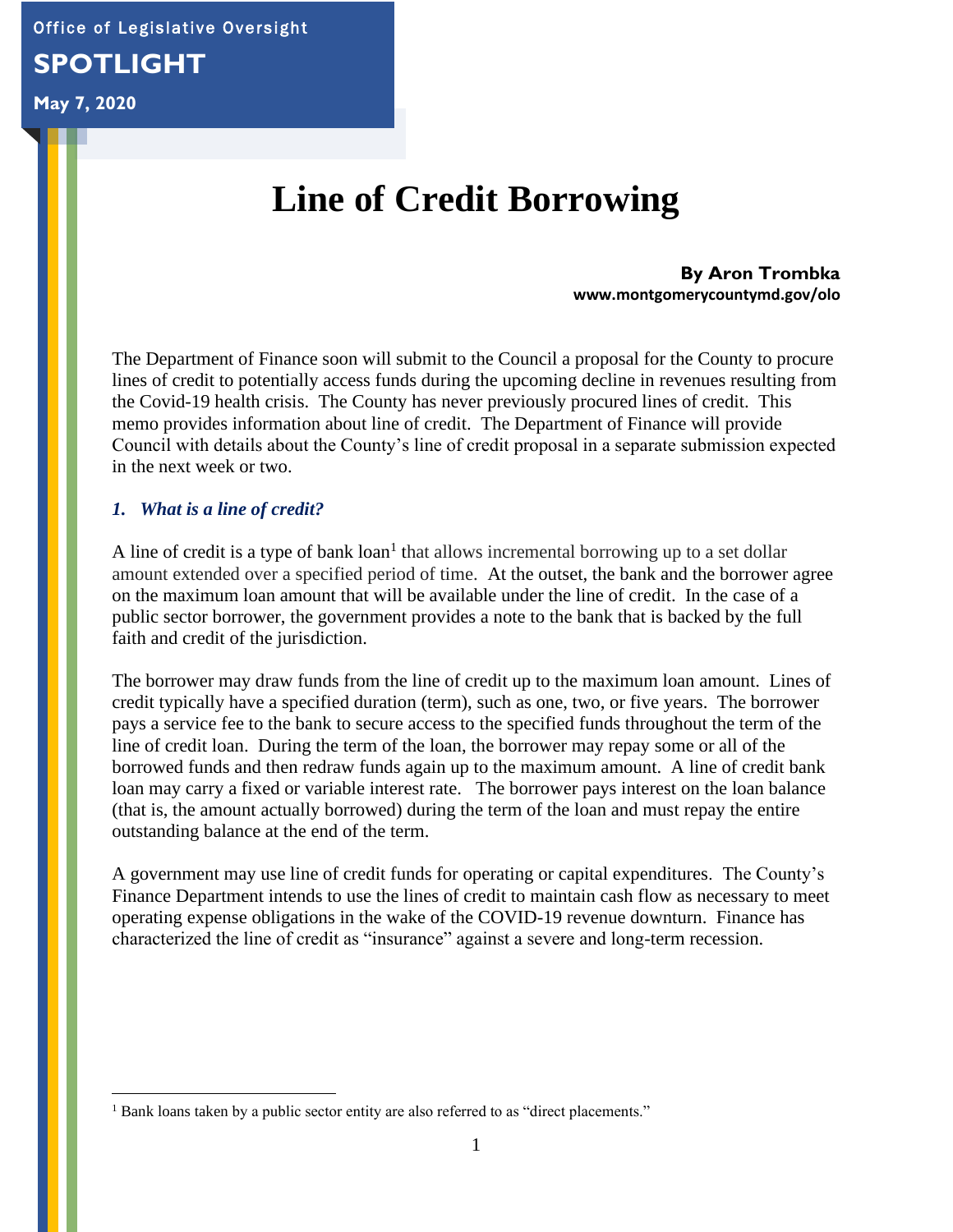Office of Legislative Oversight

# **SPOTLIGHT**

# **May 7, 2020**

# **Line of Credit Borrowing**

**By Aron Trombka www.montgomerycountymd.gov/olo**

The Department of Finance soon will submit to the Council a proposal for the County to procure lines of credit to potentially access funds during the upcoming decline in revenues resulting from the Covid-19 health crisis. The County has never previously procured lines of credit. This memo provides information about line of credit. The Department of Finance will provide Council with details about the County's line of credit proposal in a separate submission expected in the next week or two.

#### *1. What is a line of credit?*

A line of credit is a type of bank  $\text{loan}^1$  that allows incremental borrowing up to a set dollar amount extended over a specified period of time. At the outset, the bank and the borrower agree on the maximum loan amount that will be available under the line of credit. In the case of a public sector borrower, the government provides a note to the bank that is backed by the full faith and credit of the jurisdiction.

The borrower may draw funds from the line of credit up to the maximum loan amount. Lines of credit typically have a specified duration (term), such as one, two, or five years. The borrower pays a service fee to the bank to secure access to the specified funds throughout the term of the line of credit loan. During the term of the loan, the borrower may repay some or all of the borrowed funds and then redraw funds again up to the maximum amount. A line of credit bank loan may carry a fixed or variable interest rate. The borrower pays interest on the loan balance (that is, the amount actually borrowed) during the term of the loan and must repay the entire outstanding balance at the end of the term.

A government may use line of credit funds for operating or capital expenditures. The County's Finance Department intends to use the lines of credit to maintain cash flow as necessary to meet operating expense obligations in the wake of the COVID-19 revenue downturn. Finance has characterized the line of credit as "insurance" against a severe and long-term recession.

<sup>&</sup>lt;sup>1</sup> Bank loans taken by a public sector entity are also referred to as "direct placements."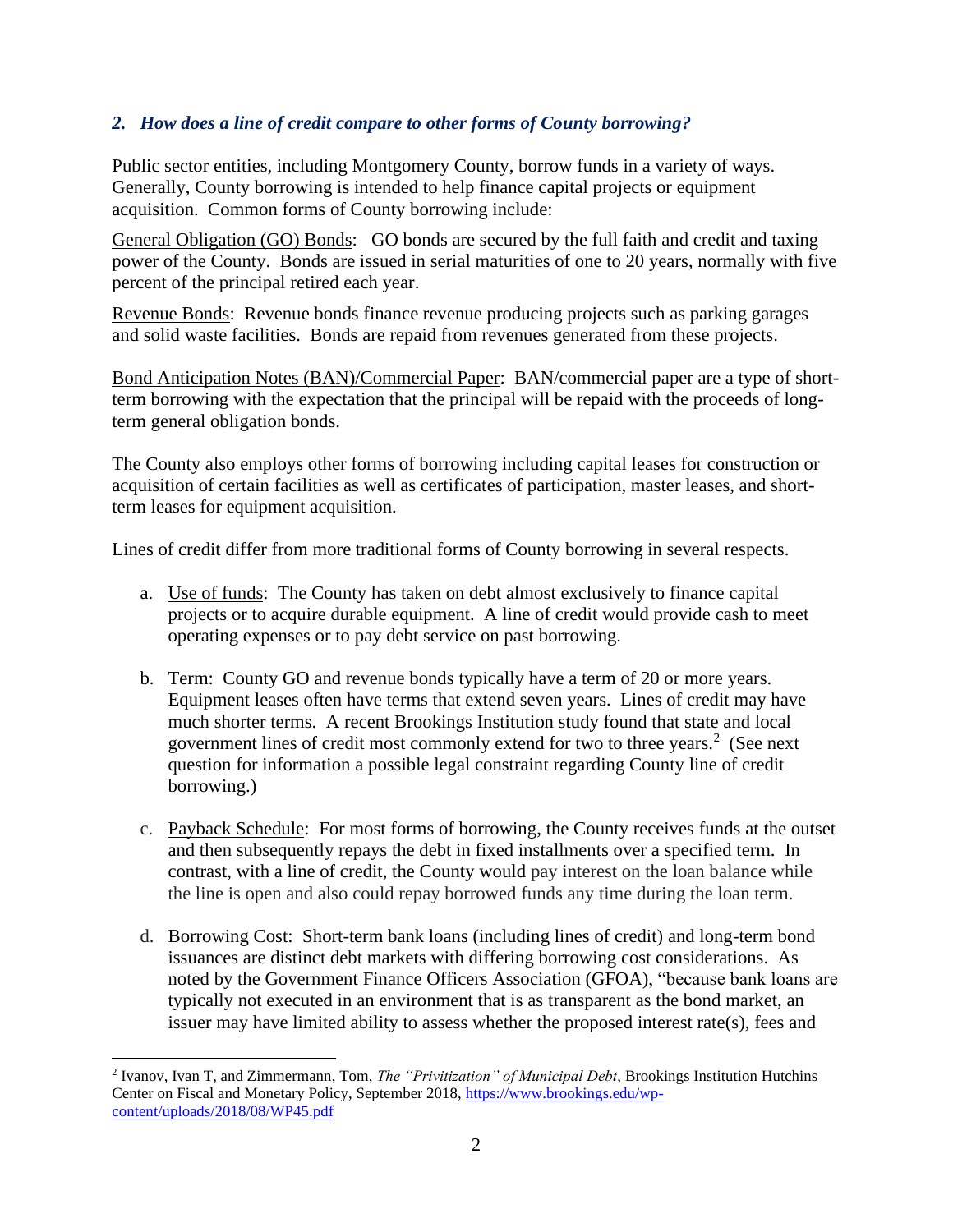### *2. How does a line of credit compare to other forms of County borrowing?*

Public sector entities, including Montgomery County, borrow funds in a variety of ways. Generally, County borrowing is intended to help finance capital projects or equipment acquisition. Common forms of County borrowing include:

General Obligation (GO) Bonds: GO bonds are secured by the full faith and credit and taxing power of the County. Bonds are issued in serial maturities of one to 20 years, normally with five percent of the principal retired each year.

Revenue Bonds: Revenue bonds finance revenue producing projects such as parking garages and solid waste facilities. Bonds are repaid from revenues generated from these projects.

Bond Anticipation Notes (BAN)/Commercial Paper: BAN/commercial paper are a type of shortterm borrowing with the expectation that the principal will be repaid with the proceeds of longterm general obligation bonds.

The County also employs other forms of borrowing including capital leases for construction or acquisition of certain facilities as well as certificates of participation, master leases, and shortterm leases for equipment acquisition.

Lines of credit differ from more traditional forms of County borrowing in several respects.

- a. Use of funds: The County has taken on debt almost exclusively to finance capital projects or to acquire durable equipment. A line of credit would provide cash to meet operating expenses or to pay debt service on past borrowing.
- b. Term: County GO and revenue bonds typically have a term of 20 or more years. Equipment leases often have terms that extend seven years. Lines of credit may have much shorter terms. A recent Brookings Institution study found that state and local government lines of credit most commonly extend for two to three years.<sup>2</sup> (See next question for information a possible legal constraint regarding County line of credit borrowing.)
- c. Payback Schedule: For most forms of borrowing, the County receives funds at the outset and then subsequently repays the debt in fixed installments over a specified term. In contrast, with a line of credit, the County would pay interest on the loan balance while the line is open and also could repay borrowed funds any time during the loan term.
- d. Borrowing Cost: Short-term bank loans (including lines of credit) and long-term bond issuances are distinct debt markets with differing borrowing cost considerations. As noted by the Government Finance Officers Association (GFOA), "because bank loans are typically not executed in an environment that is as transparent as the bond market, an issuer may have limited ability to assess whether the proposed interest rate(s), fees and

<sup>2</sup> Ivanov, Ivan T, and Zimmermann, Tom, *The "Privitization" of Municipal Debt*, Brookings Institution Hutchins Center on Fiscal and Monetary Policy, September 2018, [https://www.brookings.edu/wp](about:blank)[content/uploads/2018/08/WP45.pdf](about:blank)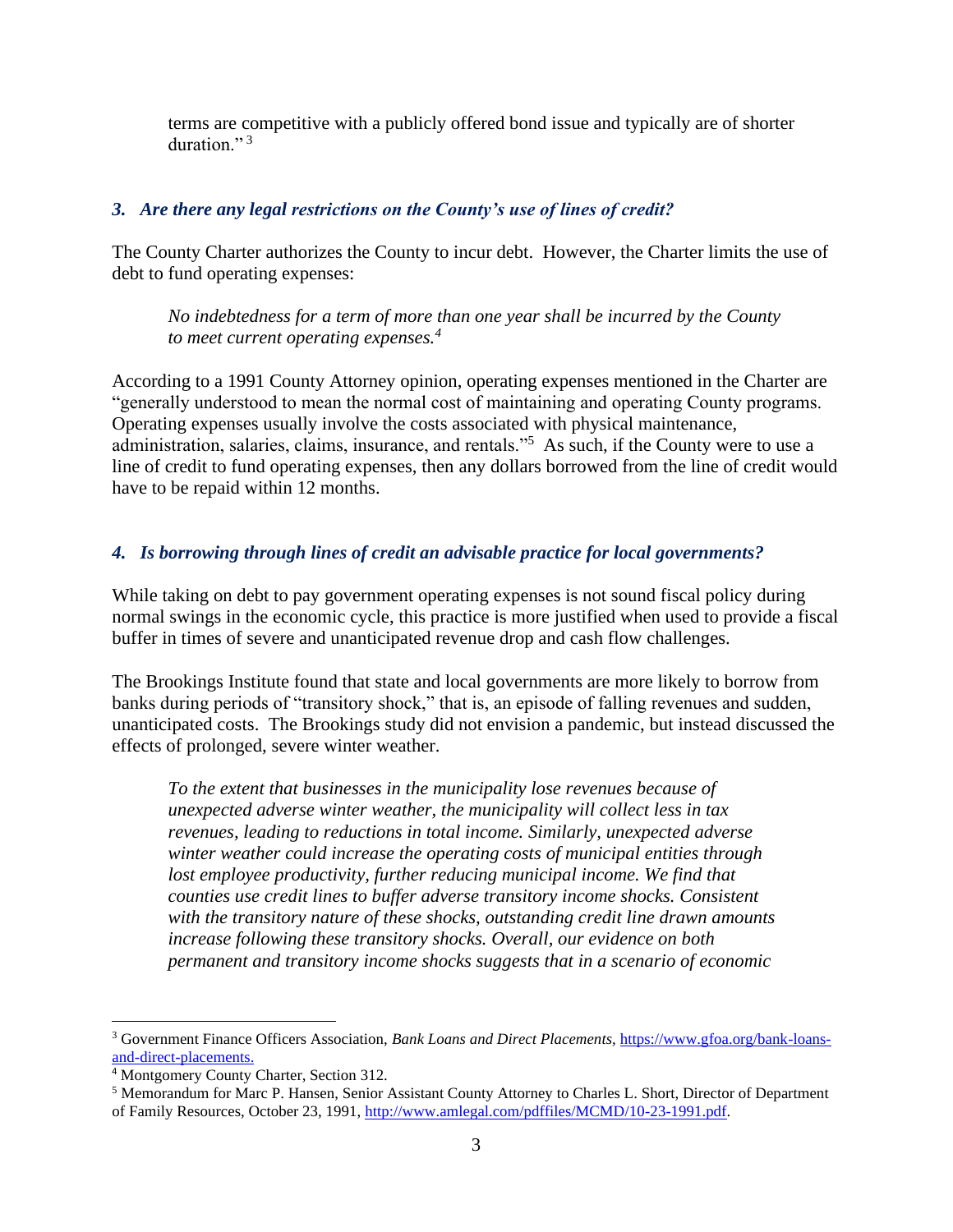terms are competitive with a publicly offered bond issue and typically are of shorter duration." $^3$ 

#### *3. Are there any legal restrictions on the County's use of lines of credit?*

The County Charter authorizes the County to incur debt. However, the Charter limits the use of debt to fund operating expenses:

*No indebtedness for a term of more than one year shall be incurred by the County to meet current operating expenses.<sup>4</sup>*

According to a 1991 County Attorney opinion, operating expenses mentioned in the Charter are "generally understood to mean the normal cost of maintaining and operating County programs. Operating expenses usually involve the costs associated with physical maintenance, administration, salaries, claims, insurance, and rentals."<sup>5</sup> As such, if the County were to use a line of credit to fund operating expenses, then any dollars borrowed from the line of credit would have to be repaid within 12 months.

#### *4. Is borrowing through lines of credit an advisable practice for local governments?*

While taking on debt to pay government operating expenses is not sound fiscal policy during normal swings in the economic cycle, this practice is more justified when used to provide a fiscal buffer in times of severe and unanticipated revenue drop and cash flow challenges.

The Brookings Institute found that state and local governments are more likely to borrow from banks during periods of "transitory shock," that is, an episode of falling revenues and sudden, unanticipated costs. The Brookings study did not envision a pandemic, but instead discussed the effects of prolonged, severe winter weather.

*To the extent that businesses in the municipality lose revenues because of unexpected adverse winter weather, the municipality will collect less in tax revenues, leading to reductions in total income. Similarly, unexpected adverse winter weather could increase the operating costs of municipal entities through*  lost employee productivity, further reducing municipal income. We find that *counties use credit lines to buffer adverse transitory income shocks. Consistent with the transitory nature of these shocks, outstanding credit line drawn amounts increase following these transitory shocks. Overall, our evidence on both permanent and transitory income shocks suggests that in a scenario of economic* 

<sup>3</sup> Government Finance Officers Association, *Bank Loans and Direct Placements,* [https://www.gfoa.org/bank-loans](about:blank)[and-direct-placements.](about:blank)

<sup>4</sup> Montgomery County Charter, Section 312.

<sup>5</sup> Memorandum for Marc P. Hansen, Senior Assistant County Attorney to Charles L. Short, Director of Department of Family Resources, October 23, 1991, [http://www.amlegal.com/pdffiles/MCMD/10-23-1991.pdf.](about:blank)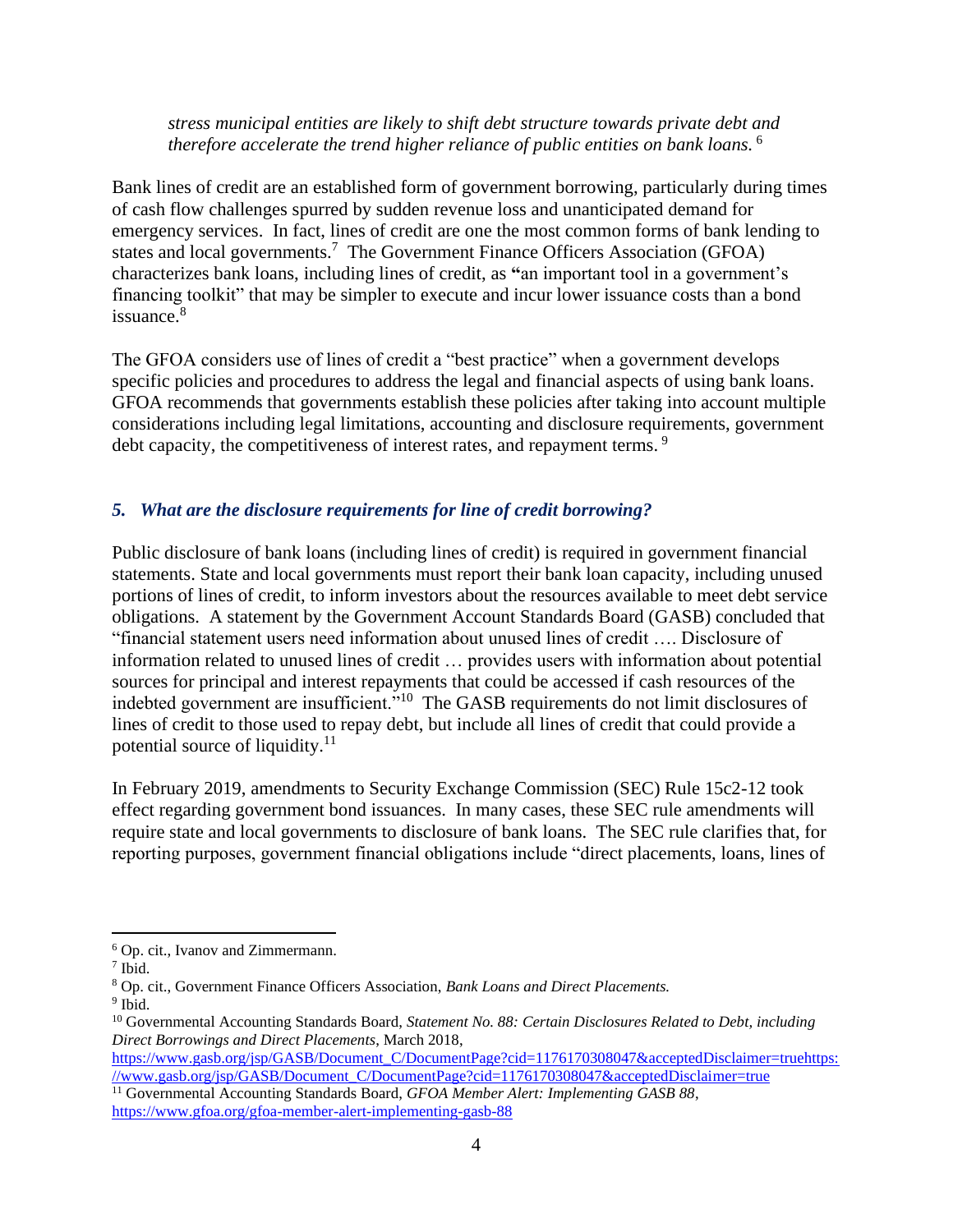*stress municipal entities are likely to shift debt structure towards private debt and therefore accelerate the trend higher reliance of public entities on bank loans.* <sup>6</sup>

Bank lines of credit are an established form of government borrowing, particularly during times of cash flow challenges spurred by sudden revenue loss and unanticipated demand for emergency services. In fact, lines of credit are one the most common forms of bank lending to states and local governments.<sup>7</sup> The Government Finance Officers Association (GFOA) characterizes bank loans, including lines of credit, as **"**an important tool in a government's financing toolkit" that may be simpler to execute and incur lower issuance costs than a bond issuance.<sup>8</sup>

The GFOA considers use of lines of credit a "best practice" when a government develops specific policies and procedures to address the legal and financial aspects of using bank loans. GFOA recommends that governments establish these policies after taking into account multiple considerations including legal limitations, accounting and disclosure requirements, government debt capacity, the competitiveness of interest rates, and repayment terms.<sup>9</sup>

#### *5. What are the disclosure requirements for line of credit borrowing?*

Public disclosure of bank loans (including lines of credit) is required in government financial statements. State and local governments must report their bank loan capacity, including unused portions of lines of credit, to inform investors about the resources available to meet debt service obligations. A statement by the Government Account Standards Board (GASB) concluded that "financial statement users need information about unused lines of credit …. Disclosure of information related to unused lines of credit … provides users with information about potential sources for principal and interest repayments that could be accessed if cash resources of the indebted government are insufficient."<sup>10</sup> The GASB requirements do not limit disclosures of lines of credit to those used to repay debt, but include all lines of credit that could provide a potential source of liquidity. $11$ 

In February 2019, amendments to Security Exchange Commission (SEC) Rule 15c2-12 took effect regarding government bond issuances. In many cases, these SEC rule amendments will require state and local governments to disclosure of bank loans. The SEC rule clarifies that, for reporting purposes, government financial obligations include "direct placements, loans, lines of

<sup>6</sup> Op. cit., Ivanov and Zimmermann.

<sup>7</sup> Ibid.

<sup>8</sup> Op. cit., Government Finance Officers Association, *Bank Loans and Direct Placements.*

<sup>&</sup>lt;sup>9</sup> Ibid.

<sup>10</sup> Governmental Accounting Standards Board, *Statement No. 88: Certain Disclosures Related to Debt, including Direct Borrowings and Direct Placements*, March 2018,

[https://www.gasb.org/jsp/GASB/Document\\_C/DocumentPage?cid=1176170308047&acceptedDisclaimer=truehttps:](about:blank) [//www.gasb.org/jsp/GASB/Document\\_C/DocumentPage?cid=1176170308047&acceptedDisclaimer=true](about:blank)

<sup>11</sup> Governmental Accounting Standards Board, *GFOA Member Alert: Implementing GASB 88*, [https://www.gfoa.org/gfoa-member-alert-implementing-gasb-88](about:blank)